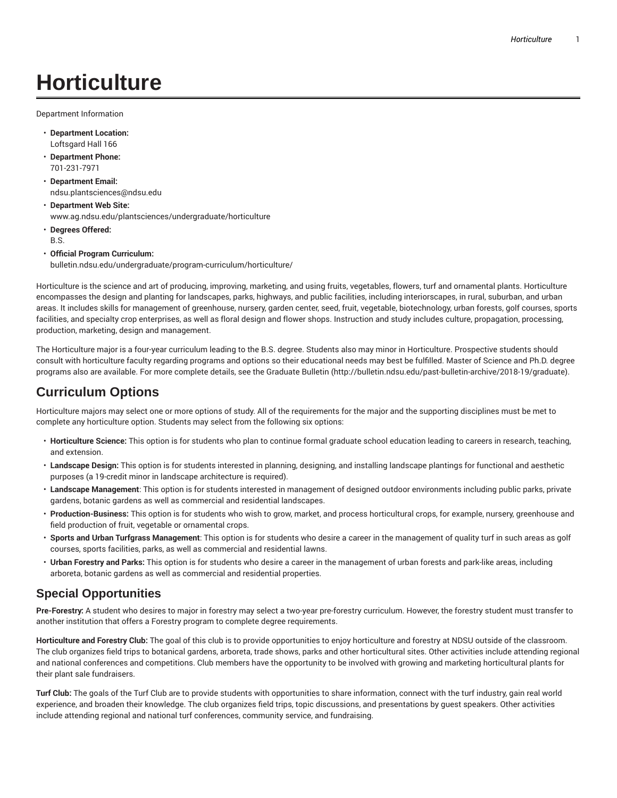## **Horticulture**

Department Information

- **Department Location:** Loftsgard Hall 166
- **Department Phone:** 701-231-7971
- **Department Email:** ndsu.plantsciences@ndsu.edu
- **Department Web Site:** www.ag.ndsu.edu/plantsciences/undergraduate/horticulture
- **Degrees Offered:** B.S.
- **Official Program Curriculum:** bulletin.ndsu.edu/undergraduate/program-curriculum/horticulture/

Horticulture is the science and art of producing, improving, marketing, and using fruits, vegetables, flowers, turf and ornamental plants. Horticulture encompasses the design and planting for landscapes, parks, highways, and public facilities, including interiorscapes, in rural, suburban, and urban areas. It includes skills for management of greenhouse, nursery, garden center, seed, fruit, vegetable, biotechnology, urban forests, golf courses, sports facilities, and specialty crop enterprises, as well as floral design and flower shops. Instruction and study includes culture, propagation, processing, production, marketing, design and management.

The Horticulture major is a four-year curriculum leading to the B.S. degree. Students also may minor in Horticulture. Prospective students should consult with horticulture faculty regarding programs and options so their educational needs may best be fulfilled. Master of Science and Ph.D. degree programs also are available. For more complete details, see the Graduate Bulletin (http://bulletin.ndsu.edu/past-bulletin-archive/2018-19/graduate).

## **Curriculum Options**

Horticulture majors may select one or more options of study. All of the requirements for the major and the supporting disciplines must be met to complete any horticulture option. Students may select from the following six options:

- **Horticulture Science:** This option is for students who plan to continue formal graduate school education leading to careers in research, teaching, and extension.
- **Landscape Design:** This option is for students interested in planning, designing, and installing landscape plantings for functional and aesthetic purposes (a 19-credit minor in landscape architecture is required).
- **Landscape Management**: This option is for students interested in management of designed outdoor environments including public parks, private gardens, botanic gardens as well as commercial and residential landscapes.
- **Production-Business:** This option is for students who wish to grow, market, and process horticultural crops, for example, nursery, greenhouse and field production of fruit, vegetable or ornamental crops.
- **Sports and Urban Turfgrass Management**: This option is for students who desire a career in the management of quality turf in such areas as golf courses, sports facilities, parks, as well as commercial and residential lawns.
- **Urban Forestry and Parks:** This option is for students who desire a career in the management of urban forests and park-like areas, including arboreta, botanic gardens as well as commercial and residential properties.

## **Special Opportunities**

**Pre-Forestry:** A student who desires to major in forestry may select a two-year pre-forestry curriculum. However, the forestry student must transfer to another institution that offers a Forestry program to complete degree requirements.

**Horticulture and Forestry Club:** The goal of this club is to provide opportunities to enjoy horticulture and forestry at NDSU outside of the classroom. The club organizes field trips to botanical gardens, arboreta, trade shows, parks and other horticultural sites. Other activities include attending regional and national conferences and competitions. Club members have the opportunity to be involved with growing and marketing horticultural plants for their plant sale fundraisers.

**Turf Club:** The goals of the Turf Club are to provide students with opportunities to share information, connect with the turf industry, gain real world experience, and broaden their knowledge. The club organizes field trips, topic discussions, and presentations by guest speakers. Other activities include attending regional and national turf conferences, community service, and fundraising.